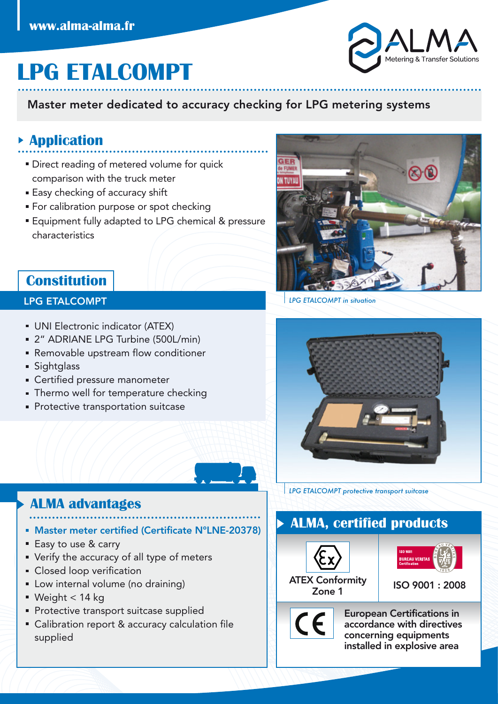# **LPG ETALCOMPT**

#### Master meter dedicated to accuracy checking for LPG metering systems

#### **Application**

- **Direct reading of metered volume for quick** comparison with the truck meter
- **Easy checking of accuracy shift**
- **For calibration purpose or spot checking**
- **Equipment fully adapted to LPG chemical & pressure** characteristics



#### LPG ETALCOMPT

- UNI Electronic indicator (ATEX)
- 2" ADRIANE LPG Turbine (500L/min)
- Removable upstream flow conditioner
- Sightglass
- Certified pressure manometer
- **Thermo well for temperature checking**
- **Protective transportation suitcase**



*LPG ETALCOMPT in situation*



*LPG ETALCOMPT protective transport suitcase*

### **ALMA advantages**

- Master meter certified (Certificate N°LNE-20378)
- Easy to use & carry
- Verify the accuracy of all type of meters
- **Closed loop verification**
- **Low internal volume (no draining)**
- Weight < 14 kg
- **Protective transport suitcase supplied**
- **Calibration report & accuracy calculation file** supplied

### **ALMA, certified products**



 $\epsilon$ 



European Certifications in accordance with directives concerning equipments installed in explosive area